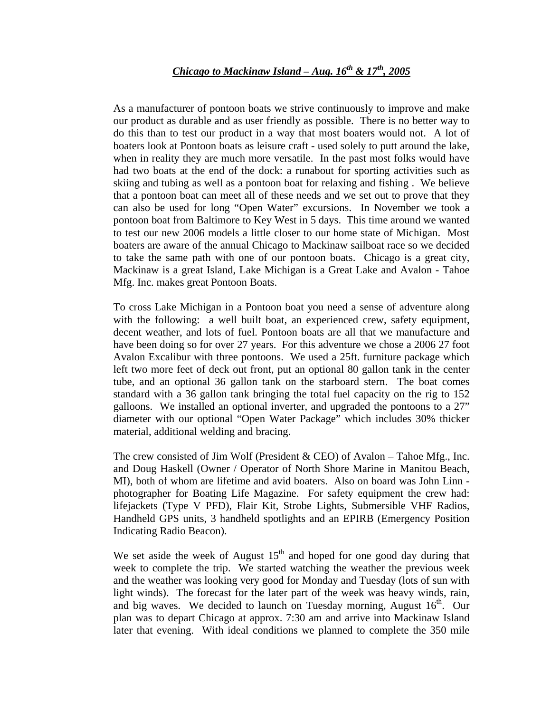## *Chicago to Mackinaw Island – Aug. 16th & 17th, 2005*

As a manufacturer of pontoon boats we strive continuously to improve and make our product as durable and as user friendly as possible. There is no better way to do this than to test our product in a way that most boaters would not. A lot of boaters look at Pontoon boats as leisure craft - used solely to putt around the lake, when in reality they are much more versatile. In the past most folks would have had two boats at the end of the dock: a runabout for sporting activities such as skiing and tubing as well as a pontoon boat for relaxing and fishing . We believe that a pontoon boat can meet all of these needs and we set out to prove that they can also be used for long "Open Water" excursions. In November we took a pontoon boat from Baltimore to Key West in 5 days. This time around we wanted to test our new 2006 models a little closer to our home state of Michigan. Most boaters are aware of the annual Chicago to Mackinaw sailboat race so we decided to take the same path with one of our pontoon boats. Chicago is a great city, Mackinaw is a great Island, Lake Michigan is a Great Lake and Avalon - Tahoe Mfg. Inc. makes great Pontoon Boats.

To cross Lake Michigan in a Pontoon boat you need a sense of adventure along with the following: a well built boat, an experienced crew, safety equipment, decent weather, and lots of fuel. Pontoon boats are all that we manufacture and have been doing so for over 27 years. For this adventure we chose a 2006 27 foot Avalon Excalibur with three pontoons. We used a 25ft. furniture package which left two more feet of deck out front, put an optional 80 gallon tank in the center tube, and an optional 36 gallon tank on the starboard stern. The boat comes standard with a 36 gallon tank bringing the total fuel capacity on the rig to 152 galloons. We installed an optional inverter, and upgraded the pontoons to a 27" diameter with our optional "Open Water Package" which includes 30% thicker material, additional welding and bracing.

The crew consisted of Jim Wolf (President & CEO) of Avalon – Tahoe Mfg., Inc. and Doug Haskell (Owner / Operator of North Shore Marine in Manitou Beach, MI), both of whom are lifetime and avid boaters. Also on board was John Linn photographer for Boating Life Magazine. For safety equipment the crew had: lifejackets (Type V PFD), Flair Kit, Strobe Lights, Submersible VHF Radios, Handheld GPS units, 3 handheld spotlights and an EPIRB (Emergency Position Indicating Radio Beacon).

We set aside the week of August  $15<sup>th</sup>$  and hoped for one good day during that week to complete the trip. We started watching the weather the previous week and the weather was looking very good for Monday and Tuesday (lots of sun with light winds). The forecast for the later part of the week was heavy winds, rain, and big waves. We decided to launch on Tuesday morning, August  $16<sup>th</sup>$ . Our plan was to depart Chicago at approx. 7:30 am and arrive into Mackinaw Island later that evening. With ideal conditions we planned to complete the 350 mile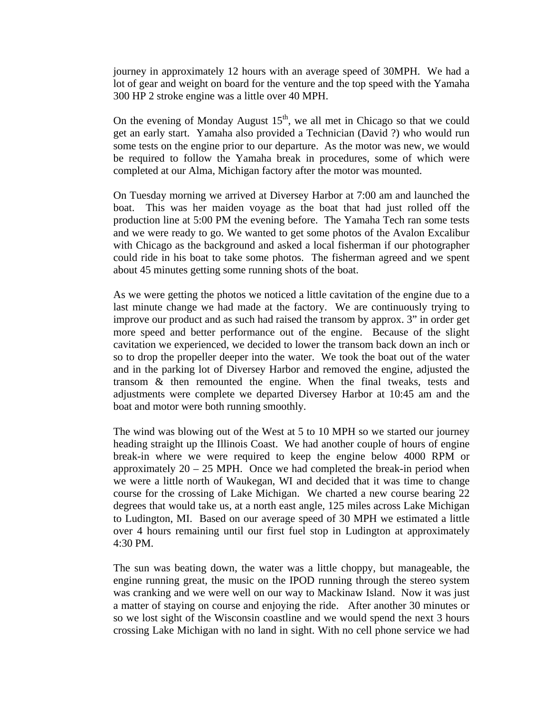journey in approximately 12 hours with an average speed of 30MPH. We had a lot of gear and weight on board for the venture and the top speed with the Yamaha 300 HP 2 stroke engine was a little over 40 MPH.

On the evening of Monday August  $15<sup>th</sup>$ , we all met in Chicago so that we could get an early start. Yamaha also provided a Technician (David ?) who would run some tests on the engine prior to our departure. As the motor was new, we would be required to follow the Yamaha break in procedures, some of which were completed at our Alma, Michigan factory after the motor was mounted.

On Tuesday morning we arrived at Diversey Harbor at 7:00 am and launched the boat. This was her maiden voyage as the boat that had just rolled off the production line at 5:00 PM the evening before. The Yamaha Tech ran some tests and we were ready to go. We wanted to get some photos of the Avalon Excalibur with Chicago as the background and asked a local fisherman if our photographer could ride in his boat to take some photos. The fisherman agreed and we spent about 45 minutes getting some running shots of the boat.

As we were getting the photos we noticed a little cavitation of the engine due to a last minute change we had made at the factory. We are continuously trying to improve our product and as such had raised the transom by approx. 3" in order get more speed and better performance out of the engine. Because of the slight cavitation we experienced, we decided to lower the transom back down an inch or so to drop the propeller deeper into the water. We took the boat out of the water and in the parking lot of Diversey Harbor and removed the engine, adjusted the transom & then remounted the engine. When the final tweaks, tests and adjustments were complete we departed Diversey Harbor at 10:45 am and the boat and motor were both running smoothly.

The wind was blowing out of the West at 5 to 10 MPH so we started our journey heading straight up the Illinois Coast. We had another couple of hours of engine break-in where we were required to keep the engine below 4000 RPM or approximately  $20 - 25$  MPH. Once we had completed the break-in period when we were a little north of Waukegan, WI and decided that it was time to change course for the crossing of Lake Michigan. We charted a new course bearing 22 degrees that would take us, at a north east angle, 125 miles across Lake Michigan to Ludington, MI. Based on our average speed of 30 MPH we estimated a little over 4 hours remaining until our first fuel stop in Ludington at approximately 4:30 PM.

The sun was beating down, the water was a little choppy, but manageable, the engine running great, the music on the IPOD running through the stereo system was cranking and we were well on our way to Mackinaw Island. Now it was just a matter of staying on course and enjoying the ride. After another 30 minutes or so we lost sight of the Wisconsin coastline and we would spend the next 3 hours crossing Lake Michigan with no land in sight. With no cell phone service we had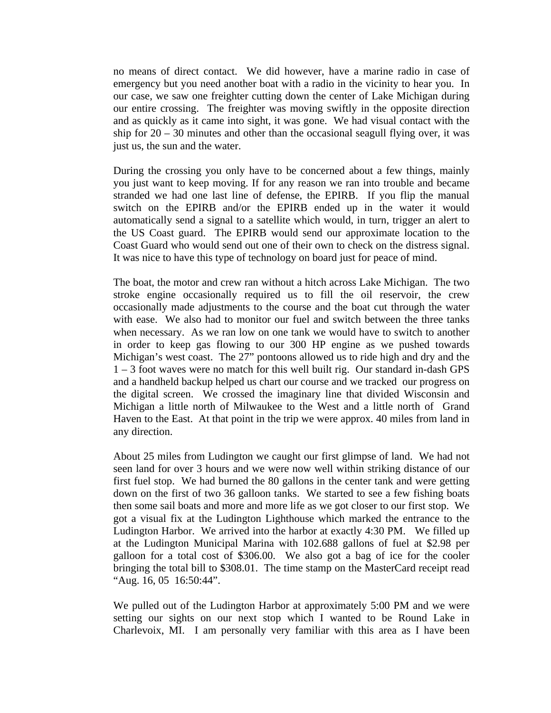no means of direct contact. We did however, have a marine radio in case of emergency but you need another boat with a radio in the vicinity to hear you. In our case, we saw one freighter cutting down the center of Lake Michigan during our entire crossing. The freighter was moving swiftly in the opposite direction and as quickly as it came into sight, it was gone. We had visual contact with the ship for  $20 - 30$  minutes and other than the occasional seagull flying over, it was just us, the sun and the water.

During the crossing you only have to be concerned about a few things, mainly you just want to keep moving. If for any reason we ran into trouble and became stranded we had one last line of defense, the EPIRB. If you flip the manual switch on the EPIRB and/or the EPIRB ended up in the water it would automatically send a signal to a satellite which would, in turn, trigger an alert to the US Coast guard. The EPIRB would send our approximate location to the Coast Guard who would send out one of their own to check on the distress signal. It was nice to have this type of technology on board just for peace of mind.

The boat, the motor and crew ran without a hitch across Lake Michigan. The two stroke engine occasionally required us to fill the oil reservoir, the crew occasionally made adjustments to the course and the boat cut through the water with ease. We also had to monitor our fuel and switch between the three tanks when necessary. As we ran low on one tank we would have to switch to another in order to keep gas flowing to our 300 HP engine as we pushed towards Michigan's west coast. The 27" pontoons allowed us to ride high and dry and the 1 – 3 foot waves were no match for this well built rig. Our standard in-dash GPS and a handheld backup helped us chart our course and we tracked our progress on the digital screen. We crossed the imaginary line that divided Wisconsin and Michigan a little north of Milwaukee to the West and a little north of Grand Haven to the East. At that point in the trip we were approx. 40 miles from land in any direction.

About 25 miles from Ludington we caught our first glimpse of land. We had not seen land for over 3 hours and we were now well within striking distance of our first fuel stop. We had burned the 80 gallons in the center tank and were getting down on the first of two 36 galloon tanks. We started to see a few fishing boats then some sail boats and more and more life as we got closer to our first stop. We got a visual fix at the Ludington Lighthouse which marked the entrance to the Ludington Harbor. We arrived into the harbor at exactly 4:30 PM. We filled up at the Ludington Municipal Marina with 102.688 gallons of fuel at \$2.98 per galloon for a total cost of \$306.00. We also got a bag of ice for the cooler bringing the total bill to \$308.01. The time stamp on the MasterCard receipt read "Aug. 16, 05 16:50:44".

We pulled out of the Ludington Harbor at approximately 5:00 PM and we were setting our sights on our next stop which I wanted to be Round Lake in Charlevoix, MI. I am personally very familiar with this area as I have been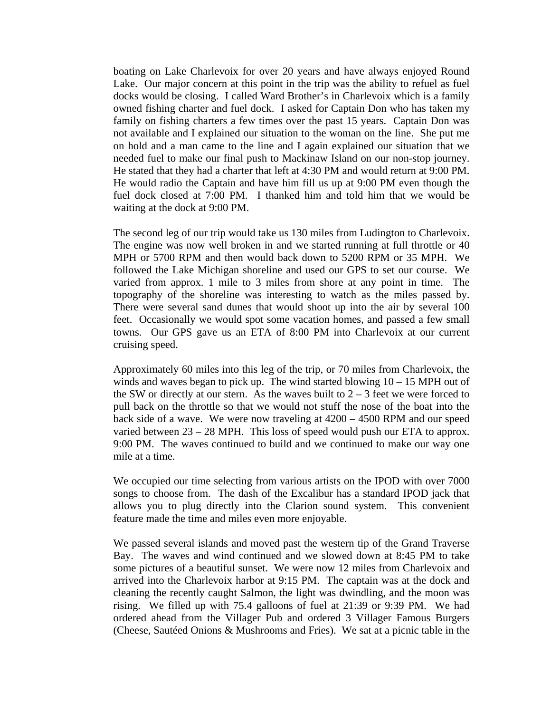boating on Lake Charlevoix for over 20 years and have always enjoyed Round Lake. Our major concern at this point in the trip was the ability to refuel as fuel docks would be closing. I called Ward Brother's in Charlevoix which is a family owned fishing charter and fuel dock. I asked for Captain Don who has taken my family on fishing charters a few times over the past 15 years. Captain Don was not available and I explained our situation to the woman on the line. She put me on hold and a man came to the line and I again explained our situation that we needed fuel to make our final push to Mackinaw Island on our non-stop journey. He stated that they had a charter that left at 4:30 PM and would return at 9:00 PM. He would radio the Captain and have him fill us up at 9:00 PM even though the fuel dock closed at 7:00 PM. I thanked him and told him that we would be waiting at the dock at 9:00 PM.

The second leg of our trip would take us 130 miles from Ludington to Charlevoix. The engine was now well broken in and we started running at full throttle or 40 MPH or 5700 RPM and then would back down to 5200 RPM or 35 MPH. We followed the Lake Michigan shoreline and used our GPS to set our course. We varied from approx. 1 mile to 3 miles from shore at any point in time. The topography of the shoreline was interesting to watch as the miles passed by. There were several sand dunes that would shoot up into the air by several 100 feet. Occasionally we would spot some vacation homes, and passed a few small towns. Our GPS gave us an ETA of 8:00 PM into Charlevoix at our current cruising speed.

Approximately 60 miles into this leg of the trip, or 70 miles from Charlevoix, the winds and waves began to pick up. The wind started blowing  $10 - 15$  MPH out of the SW or directly at our stern. As the waves built to  $2 - 3$  feet we were forced to pull back on the throttle so that we would not stuff the nose of the boat into the back side of a wave. We were now traveling at 4200 – 4500 RPM and our speed varied between 23 – 28 MPH. This loss of speed would push our ETA to approx. 9:00 PM. The waves continued to build and we continued to make our way one mile at a time.

We occupied our time selecting from various artists on the IPOD with over 7000 songs to choose from. The dash of the Excalibur has a standard IPOD jack that allows you to plug directly into the Clarion sound system. This convenient feature made the time and miles even more enjoyable.

We passed several islands and moved past the western tip of the Grand Traverse Bay. The waves and wind continued and we slowed down at 8:45 PM to take some pictures of a beautiful sunset. We were now 12 miles from Charlevoix and arrived into the Charlevoix harbor at 9:15 PM. The captain was at the dock and cleaning the recently caught Salmon, the light was dwindling, and the moon was rising. We filled up with 75.4 galloons of fuel at 21:39 or 9:39 PM. We had ordered ahead from the Villager Pub and ordered 3 Villager Famous Burgers (Cheese, Sautéed Onions & Mushrooms and Fries). We sat at a picnic table in the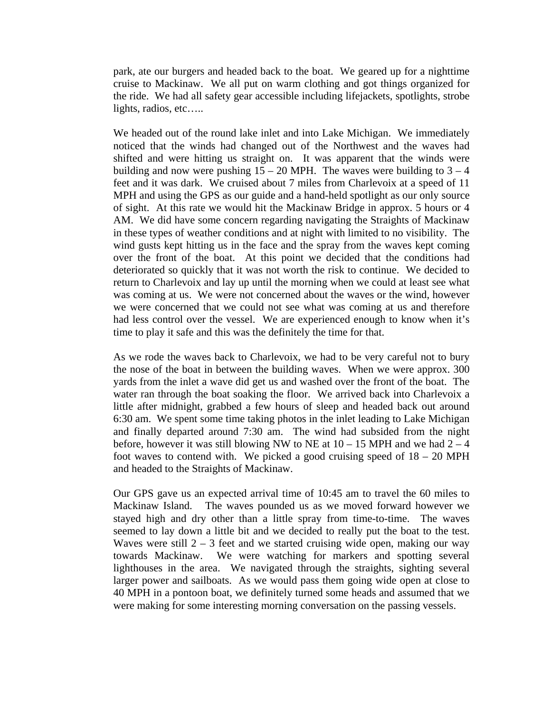park, ate our burgers and headed back to the boat. We geared up for a nighttime cruise to Mackinaw. We all put on warm clothing and got things organized for the ride. We had all safety gear accessible including lifejackets, spotlights, strobe lights, radios, etc…..

We headed out of the round lake inlet and into Lake Michigan. We immediately noticed that the winds had changed out of the Northwest and the waves had shifted and were hitting us straight on. It was apparent that the winds were building and now were pushing  $15 - 20$  MPH. The waves were building to  $3 - 4$ feet and it was dark. We cruised about 7 miles from Charlevoix at a speed of 11 MPH and using the GPS as our guide and a hand-held spotlight as our only source of sight. At this rate we would hit the Mackinaw Bridge in approx. 5 hours or 4 AM. We did have some concern regarding navigating the Straights of Mackinaw in these types of weather conditions and at night with limited to no visibility. The wind gusts kept hitting us in the face and the spray from the waves kept coming over the front of the boat. At this point we decided that the conditions had deteriorated so quickly that it was not worth the risk to continue. We decided to return to Charlevoix and lay up until the morning when we could at least see what was coming at us. We were not concerned about the waves or the wind, however we were concerned that we could not see what was coming at us and therefore had less control over the vessel. We are experienced enough to know when it's time to play it safe and this was the definitely the time for that.

As we rode the waves back to Charlevoix, we had to be very careful not to bury the nose of the boat in between the building waves. When we were approx. 300 yards from the inlet a wave did get us and washed over the front of the boat. The water ran through the boat soaking the floor. We arrived back into Charlevoix a little after midnight, grabbed a few hours of sleep and headed back out around 6:30 am. We spent some time taking photos in the inlet leading to Lake Michigan and finally departed around 7:30 am. The wind had subsided from the night before, however it was still blowing NW to NE at  $10 - 15$  MPH and we had  $2 - 4$ foot waves to contend with. We picked a good cruising speed of  $18 - 20$  MPH and headed to the Straights of Mackinaw.

Our GPS gave us an expected arrival time of 10:45 am to travel the 60 miles to Mackinaw Island. The waves pounded us as we moved forward however we stayed high and dry other than a little spray from time-to-time. The waves seemed to lay down a little bit and we decided to really put the boat to the test. Waves were still  $2 - 3$  feet and we started cruising wide open, making our way towards Mackinaw. We were watching for markers and spotting several lighthouses in the area. We navigated through the straights, sighting several larger power and sailboats. As we would pass them going wide open at close to 40 MPH in a pontoon boat, we definitely turned some heads and assumed that we were making for some interesting morning conversation on the passing vessels.